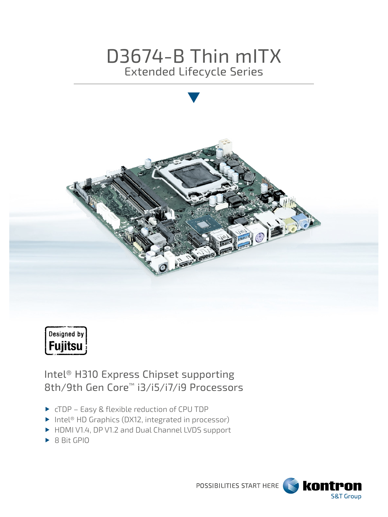# D3674-B Thin mITX Extended Lifecycle Series





Intel® H310 Express Chipset supporting 8th/9th Gen Core™ i3/i5/i7/i9 Processors

- ▶ cTDP Easy & flexible reduction of CPU TDP
- ▶ Intel<sup>®</sup> HD Graphics (DX12, integrated in processor)
- HDMI V1.4, DP V1.2 and Dual Channel LVDS support
- ▶ 8 Bit GPIO

POSSIBILITIES START HERE

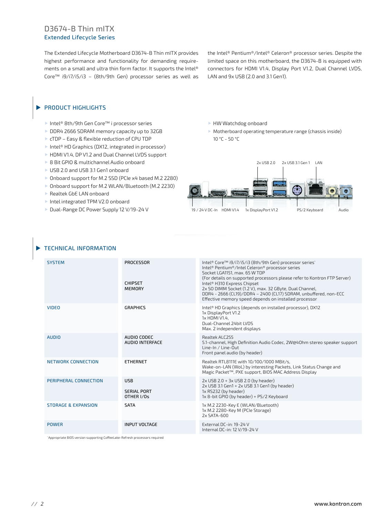# D3674-B Thin mITX Extended Lifecycle Series

The Extended Lifecycle Motherboard D3674-B Thin mITX provides highest performance and functionality for demanding requirements on a small and ultra thin form factor. It supports the Intel® Core™ i9/i7/i5/i3 – (8th/9th Gen) processor series as well as

the Intel® Pentium®/Intel® Celeron® processor series. Despite the limited space on this motherboard, the D3674-B is equipped with connectors for HDMI V1.4, Display Port V1.2, Dual Channel LVDS, LAN and 9x USB (2.0 and 3.1 Gen1).

#### PRODUCT HIGHLIGHTS ь

- Intel® 8th/9th Gen Core™ i processor series
- DDR4 2666 SDRAM memory capacity up to 32GB
- ▶ cTDP Easy & flexible reduction of CPU TDP
- ▶ Intel<sup>®</sup> HD Graphics (DX12, integrated in processor)
- HDMI V1.4, DP V1.2 and Dual Channel LVDS support
- ▶ 8 Bit GPIO & multichannel Audio onboard
- ▶ USB 2.0 and USB 3.1 Gen1 onboard
- ▶ Onboard support for M.2 SSD (PCIe x4 based M.2 2280)
- ▶ Onboard support for M.2 WLAN/Bluetooth (M.2 2230)
- Realtek GbE LAN onboard
- Intel integrated TPM V2.0 onboard
- ▶ Dual-Range DC Power Supply 12 V/19-24 V

HW Watchdog onboard

 Motherboard operating temperature range (chassis inside) 10 °C - 50 °C



## TECHNICAL INFORMATION

| <b>SYSTEM</b>                  | <b>PROCESSOR</b><br><b>CHIPSET</b><br><b>MEMORY</b> | Intel® Core™ i9/i7/i5/i3 (8th/9th Gen) processor series*<br>Intel® Pentium®/Intel Celeron® processor series<br>Socket LGA1151, max. 65 W TDP<br>(For details on supported processors please refer to Kontron FTP Server)<br>Intel <sup>®</sup> H310 Express Chipset<br>2x SO DIMM Socket (1.2 V), max. 32 GByte, Dual Channel,<br>DDR4 - 2666 (CL19)/DDR4 - 2400 (CL17) SDRAM, unbuffered, non-ECC<br>Effective memory speed depends on installed processor |
|--------------------------------|-----------------------------------------------------|-------------------------------------------------------------------------------------------------------------------------------------------------------------------------------------------------------------------------------------------------------------------------------------------------------------------------------------------------------------------------------------------------------------------------------------------------------------|
| <b>VIDEO</b>                   | <b>GRAPHICS</b>                                     | Intel <sup>®</sup> HD Graphics (depends on installed processor), DX12<br>1x DisplayPort V1.2<br>1x HDMI V1.4.<br>Dual-Channel 24bit LVDS<br>Max. 2 independent displays                                                                                                                                                                                                                                                                                     |
| <b>AUDIO</b>                   | AUDIO CODEC<br>AUDIO INTERFACE                      | Realtek ALC255<br>5.1-channel, High Definition Audio Codec, 2W@40hm stereo speaker support<br>Line-In / Line-Out<br>Front panel audio (by header)                                                                                                                                                                                                                                                                                                           |
| NETWORK CONNECTION             | <b>ETHERNET</b>                                     | Realtek RTL8111E with 10/100/1000 MBit/s.<br>Wake-on-LAN (WoL) by interesting Packets, Link Status Change and<br>Magic Packet™, PXE support, BIOS MAC Address Display                                                                                                                                                                                                                                                                                       |
| PERIPHERAL CONNECTION          | <b>USB</b><br><b>SERIAL PORT</b><br>OTHER I/Os      | $2x$ USB $2.0 + 3x$ USB $2.0$ (by header)<br>2x USB 3.1 Gen1 + 2x USB 3.1 Gen1 (by header)<br>1x RS232 (by header)<br>1x 8-bit GPIO (by header) + PS/2 Keyboard                                                                                                                                                                                                                                                                                             |
| <b>STORAGE &amp; EXPANSION</b> | <b>SATA</b>                                         | 1x M.2 2230-Key E (WLAN/Bluetooth)<br>1x M.2 2280-Key M (PCle Storage)<br>$2x$ SATA-600                                                                                                                                                                                                                                                                                                                                                                     |
| <b>POWER</b>                   | <b>INPUT VOLTAGE</b>                                | External DC-in: 19-24 V<br>Internal DC-in: 12 V/19-24 V                                                                                                                                                                                                                                                                                                                                                                                                     |

\* Appropriate BIOS version supporting CoffeeLake-Refresh processors required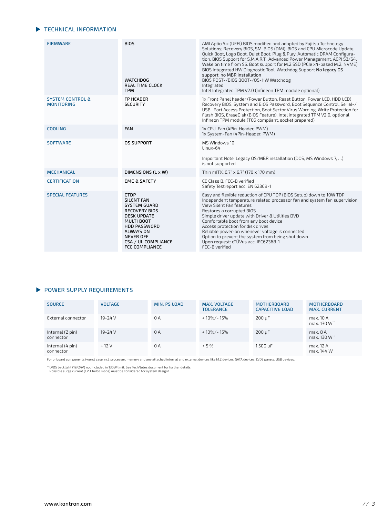# TECHNICAL INFORMATION

| <b>FIRMWARE</b>                                  | <b>BIOS</b><br><b>WATCHDOG</b><br><b>REAL TIME CLOCK</b><br><b>TPM</b>                                                                                                                                                                    | AMI Aptio 5.x (UEFI) BIOS modified and adapted by Fujitsu Technology<br>Solutions; Recovery BIOS, SM-BIOS (DMI), BIOS and CPU Microcode Update,<br>Quick Boot, Logo Boot, Quiet Boot, Plug & Play, Automatic DRAM Configura-<br>tion, BIOS Support for S.M.A.R.T., Advanced Power Management, ACPI S3/S4,<br>Wake on time from S5. Boot support for M.2 SSD (PCIe x4-based M.2, NVME)<br>BIOS integrated HW Diagnostic Tool, Watchdog Support No legacy OS<br>support, no MBR installation<br>BIOS POST-/BIOS BOOT-/OS-HW Watchdog<br>Integrated<br>Intel Integrated TPM V2.0 (Infineon TPM module optional) |
|--------------------------------------------------|-------------------------------------------------------------------------------------------------------------------------------------------------------------------------------------------------------------------------------------------|--------------------------------------------------------------------------------------------------------------------------------------------------------------------------------------------------------------------------------------------------------------------------------------------------------------------------------------------------------------------------------------------------------------------------------------------------------------------------------------------------------------------------------------------------------------------------------------------------------------|
| <b>SYSTEM CONTROL &amp;</b><br><b>MONITORING</b> | <b>FP HEADER</b><br><b>SECURITY</b>                                                                                                                                                                                                       | 1x Front Panel header (Power Button, Reset Button, Power LED, HDD LED)<br>Recovery BIOS, System and BIOS Password, Boot Sequence Control, Serial-/<br>USB- Port Access Protection, Boot Sector Virus Warning, Write Protection for<br>Flash BIOS, EraseDisk (BIOS Feature), Intel integrated TPM V2.0, optional<br>Infineon TPM module (TCG compliant, socket prepared)                                                                                                                                                                                                                                      |
| <b>COOLING</b>                                   | <b>FAN</b>                                                                                                                                                                                                                                | 1x CPU-Fan (4Pin-Header, PWM)<br>1x System-Fan (4Pin-Header, PWM)                                                                                                                                                                                                                                                                                                                                                                                                                                                                                                                                            |
| <b>SOFTWARE</b>                                  | <b>OS SUPPORT</b>                                                                                                                                                                                                                         | MS Windows 10<br>Linux-64<br>Important Note: Legacy OS/MBR installation (DOS, MS Windows 7, )<br>is not supported                                                                                                                                                                                                                                                                                                                                                                                                                                                                                            |
| <b>MECHANICAL</b>                                | DIMENSIONS (L x W)                                                                                                                                                                                                                        | Thin mITX: 6.7" x 6.7" (170 x 170 mm)                                                                                                                                                                                                                                                                                                                                                                                                                                                                                                                                                                        |
| <b>CERTIFICATION</b>                             | <b>EMC &amp; SAFETY</b>                                                                                                                                                                                                                   | CE Class B. FCC-B verified<br>Safety Testreport acc. EN 62368-1                                                                                                                                                                                                                                                                                                                                                                                                                                                                                                                                              |
| <b>SPECIAL FEATURES</b>                          | <b>CTDP</b><br><b>SILENT FAN</b><br><b>SYSTEM GUARD</b><br><b>RECOVERY BIOS</b><br><b>DESK UPDATE</b><br><b>MULTI BOOT</b><br><b>HDD PASSWORD</b><br><b>ALWAYS ON</b><br><b>NEVER OFF</b><br>CSA / UL COMPLIANCE<br><b>FCC COMPLIANCE</b> | Easy and flexible reduction of CPU TDP (BIOS Setup) down to 10W TDP<br>Independent temperature related processor fan and system fan supervision<br>View Silent Fan features<br>Restores a corrupted BIOS<br>Simple driver update with Driver & Utilities DVD<br>Comfortable boot from any boot device<br>Access protection for disk drives<br>Reliable power-on whenever voltage is connected<br>Option to prevent the system from being shut down<br>Upon request: cTÜVus acc. IEC62368-1<br>FCC-B verified                                                                                                 |

# **POWER SUPPLY REQUIREMENTS**

| <b>SOURCE</b>                 | <b>VOLTAGE</b> | MIN. PS LOAD | MAX. VOLTAGE<br><b>TOLERANCE</b> | <b>MOTHERBOARD</b><br><b>CAPACITIVE LOAD</b> | <b>MOTHERBOARD</b><br><b>MAX. CURRENT</b> |
|-------------------------------|----------------|--------------|----------------------------------|----------------------------------------------|-------------------------------------------|
| External connector            | 19-24 V        | 0A           | + 10%/- 15%                      | $200 \mu F$                                  | max. 10 A<br>max. 130 W <sup>**</sup>     |
| Internal (2 pin)<br>connector | 19-24 V        | 0 A          | + 10%/- 15%                      | $200 \mu F$                                  | max. 8A<br>max. 130 W**                   |
| Internal (4 pin)<br>connector | $+12V$         | 0 A          | ± 5%                             | 1.500 µF                                     | max. 12 A<br>max. 144 W                   |

For onboard components (worst case incl. processor, memory and any attached internal and external devices like M.2 devices, SATA devices, LVDS panels, USB devices.

 $\cdot \cdot$  LVDS backlight (19/24V) not included in 130W limit. See TechNotes document for further details.<br>Possible surge current (CPU Turbo mode) must be considered for system design!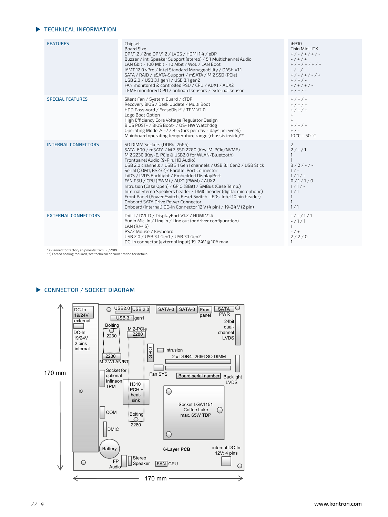## **TECHNICAL INFORMATION**

| <b>FEATURES</b>            | Chipset<br><b>Board Size</b><br>DP V1.2 / 2nd DP V1.2 / LVDS / HDMI 1.4 / eDP<br>Buzzer / int. Speaker Support (stereo) / 5.1 Multichannel Audio<br>LAN Gbit / 100 Mbit / 10 Mbit / WoL / LAN Boot<br>iAMT 12.0 vPro / Intel Standard Manageability / DASH V1.1<br>SATA / RAID / eSATA-Support / mSATA / M.2 SSD (PCIe)<br>USB 2.0 / USB 3.1 gen1 / USB 3.1 gen2<br>FAN monitored & controlled PSU / CPU / AUX1 / AUX2<br>TEMP monitored CPU / onboard sensors / external sensor                                                                                                                                                                                                                                     | iH310<br>Thin Mini-ITX<br>$+$ / - / + / + / -<br>$- / + / +$<br>$+$ / + / + / + / +<br>$-/-/-$<br>$+$ / - / + / - / +<br>$+$ / + / -<br>$-$ / + / + / -<br>$+$ / + / - |
|----------------------------|----------------------------------------------------------------------------------------------------------------------------------------------------------------------------------------------------------------------------------------------------------------------------------------------------------------------------------------------------------------------------------------------------------------------------------------------------------------------------------------------------------------------------------------------------------------------------------------------------------------------------------------------------------------------------------------------------------------------|------------------------------------------------------------------------------------------------------------------------------------------------------------------------|
| <b>SPECIAL FEATURES</b>    | Silent Fan / System Guard / cTDP<br>Recovery BIOS / Desk Update / Multi Boot<br>HDD Password / EraseDisk* / TPM V2.0<br>Logo Boot Option<br>High Efficiency Core Voltage Regulator Design<br>BIOS POST- / BIOS Boot- / OS- HW Watchdog<br>Operating Mode 24-7 / 8-5 (hrs per day - days per week)<br>Mainboard operating temperature range (chassis inside)**                                                                                                                                                                                                                                                                                                                                                        | $+$ / + / +<br>$+$ / + / +<br>$+$ / + / +<br>$+$<br>$+$<br>$+$ / + / +<br>$+$ / $-$<br>10 °C - 50 °C                                                                   |
| <b>INTERNAL CONNECTORS</b> | SO DIMM Sockets (DDR4-2666)<br>SATA-600 / mSATA / M.2 SSD 2280 (Key-M, PCIe/NVME)<br>M.2 2230 (Key-E, PCIe & USB2.0 for WLAN/Bluetooth)<br>Frontpanel Audio (9-Pin, HD Audio)<br>USB 2.0 channels / USB 3.1 Gen1 channels / USB 3.1 Gen2 / USB Stick<br>Serial (COM1, RS232)/ Parallel Port Connector<br>LVDS / LVDS Backlight / Embedded DisplayPort<br>FAN PSU / CPU (PWM) / AUX1 (PWM) / AUX2<br>Intrusion (Case Open) / GPIO (8Bit) / SMBus (Case Temp.)<br>Internal Stereo Speakers header / DMIC header (digital microphone)<br>Front Panel (Power Switch, Reset Switch, LEDs, Intel 10 pin header)<br>Onboard SATA Drive Power Connector<br>Onboard (internal) DC-In Connector 12 V (4 pin) / 19-24 V (2 pin) | 2<br>$2/-/1$<br>$\mathbf{1}$<br>$3/2/-/ -$<br>$1/-$<br>$1/1/-$<br>0/1/1/0<br>$1/1/-$<br>1/1<br>$\mathbf{1}$<br>$\mathbf{1}$<br>1/1                                     |
| <b>EXTERNAL CONNECTORS</b> | DVI-I / DVI-D / DisplayPort V1.2 / HDMI V1.4<br>Audio Mic. In / Line in / Line out (or driver configuration)<br>LAN (RJ-45)<br>PS/2 Mouse / Keyboard<br>USB 2.0 / USB 3.1 Gen1 / USB 3.1 Gen2<br>DC-In connector (external input) 19-24V @ 10A max.                                                                                                                                                                                                                                                                                                                                                                                                                                                                  | $-/-/1/1$<br>$-71/1$<br>$\mathbf{1}$<br>$- / +$<br>2/2/0<br>$\mathbf{1}$                                                                                               |

\*) Planned for factory shipments from 06/2019 \*\*) Forced cooling required, see technical documentation for details